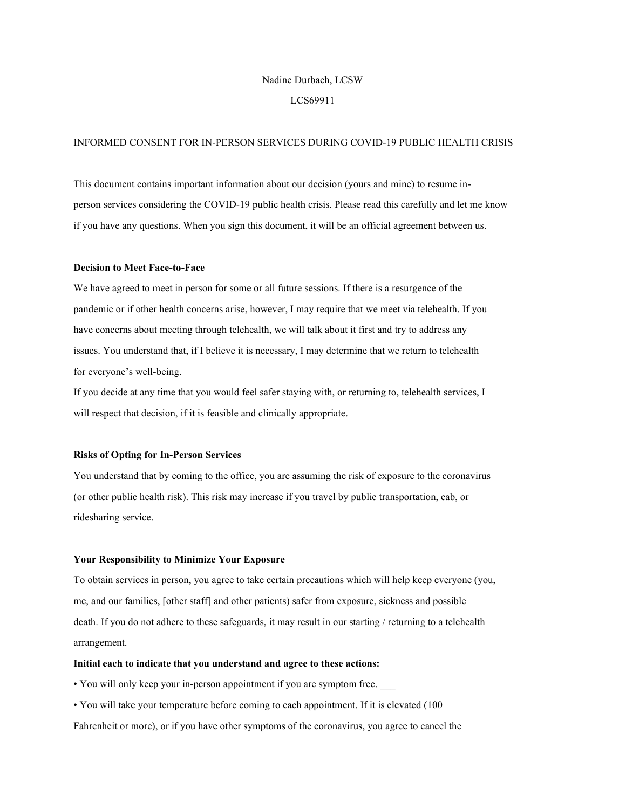## Nadine Durbach, LCSW

## LCS69911

## INFORMED CONSENT FOR IN-PERSON SERVICES DURING COVID-19 PUBLIC HEALTH CRISIS

This document contains important information about our decision (yours and mine) to resume inperson services considering the COVID-19 public health crisis. Please read this carefully and let me know if you have any questions. When you sign this document, it will be an official agreement between us.

### Decision to Meet Face-to-Face

We have agreed to meet in person for some or all future sessions. If there is a resurgence of the pandemic or if other health concerns arise, however, I may require that we meet via telehealth. If you have concerns about meeting through telehealth, we will talk about it first and try to address any issues. You understand that, if I believe it is necessary, I may determine that we return to telehealth for everyone's well-being.

If you decide at any time that you would feel safer staying with, or returning to, telehealth services, I will respect that decision, if it is feasible and clinically appropriate.

### Risks of Opting for In-Person Services

You understand that by coming to the office, you are assuming the risk of exposure to the coronavirus (or other public health risk). This risk may increase if you travel by public transportation, cab, or ridesharing service.

## Your Responsibility to Minimize Your Exposure

To obtain services in person, you agree to take certain precautions which will help keep everyone (you, me, and our families, [other staff] and other patients) safer from exposure, sickness and possible death. If you do not adhere to these safeguards, it may result in our starting / returning to a telehealth arrangement.

## Initial each to indicate that you understand and agree to these actions:

• You will only keep your in-person appointment if you are symptom free. \_\_\_

• You will take your temperature before coming to each appointment. If it is elevated (100

Fahrenheit or more), or if you have other symptoms of the coronavirus, you agree to cancel the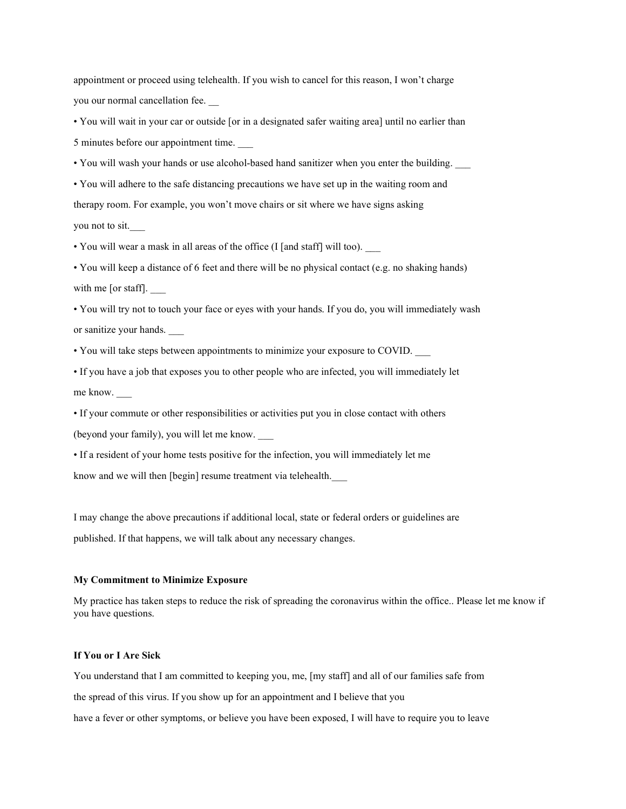appointment or proceed using telehealth. If you wish to cancel for this reason, I won't charge you our normal cancellation fee. \_\_

• You will wait in your car or outside [or in a designated safer waiting area] until no earlier than 5 minutes before our appointment time. \_\_\_

• You will wash your hands or use alcohol-based hand sanitizer when you enter the building. \_\_\_

• You will adhere to the safe distancing precautions we have set up in the waiting room and therapy room. For example, you won't move chairs or sit where we have signs asking you not to sit.

• You will wear a mask in all areas of the office (I [and staff] will too).

• You will keep a distance of 6 feet and there will be no physical contact (e.g. no shaking hands) with me [or staff].

• You will try not to touch your face or eyes with your hands. If you do, you will immediately wash or sanitize your hands.

• You will take steps between appointments to minimize your exposure to COVID. \_\_\_

• If you have a job that exposes you to other people who are infected, you will immediately let me know.

• If your commute or other responsibilities or activities put you in close contact with others (beyond your family), you will let me know. \_\_\_

• If a resident of your home tests positive for the infection, you will immediately let me know and we will then [begin] resume treatment via telehealth.

I may change the above precautions if additional local, state or federal orders or guidelines are published. If that happens, we will talk about any necessary changes.

#### My Commitment to Minimize Exposure

My practice has taken steps to reduce the risk of spreading the coronavirus within the office.. Please let me know if you have questions.

## If You or I Are Sick

You understand that I am committed to keeping you, me, [my staff] and all of our families safe from the spread of this virus. If you show up for an appointment and I believe that you have a fever or other symptoms, or believe you have been exposed, I will have to require you to leave